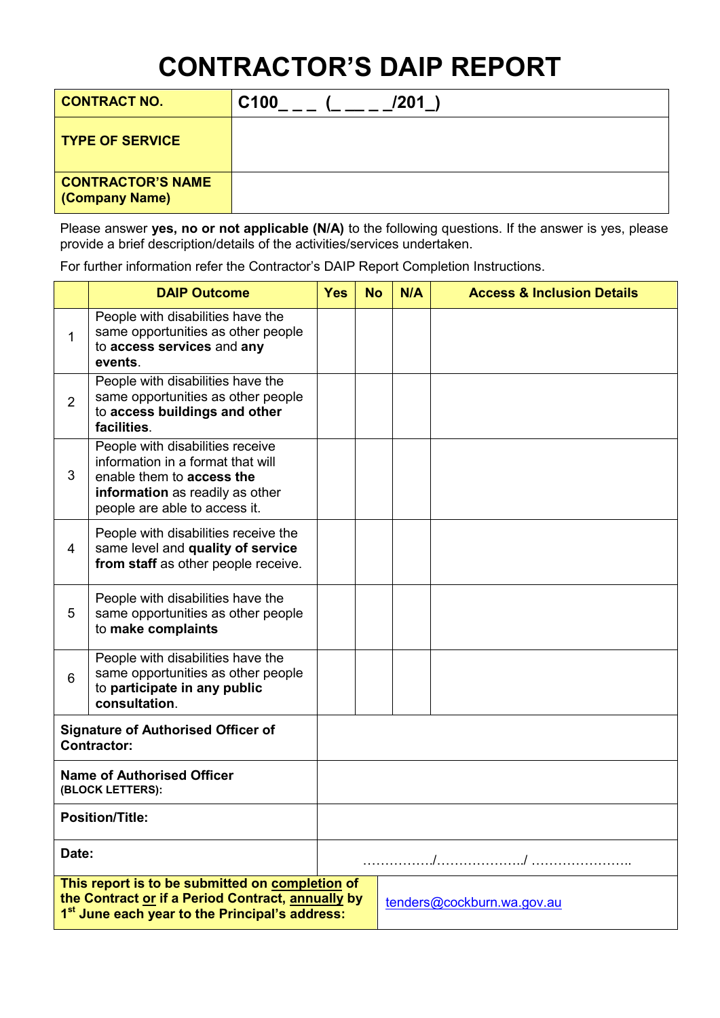# **CONTRACTOR'S DAIP REPORT**

| <b>CONTRACT NO.</b>                               | C <sub>100</sub><br>/201 |
|---------------------------------------------------|--------------------------|
| <b>TYPE OF SERVICE</b>                            |                          |
| <b>CONTRACTOR'S NAME</b><br><b>(Company Name)</b> |                          |

Please answer **yes, no or not applicable (N/A)** to the following questions. If the answer is yes, please provide a brief description/details of the activities/services undertaken.

For further information refer the Contractor's DAIP Report Completion Instructions.

|                                                                 | <b>DAIP Outcome</b>                                                                                                                                                                              | <b>Yes</b> | <b>No</b> | N/A | <b>Access &amp; Inclusion Details</b> |
|-----------------------------------------------------------------|--------------------------------------------------------------------------------------------------------------------------------------------------------------------------------------------------|------------|-----------|-----|---------------------------------------|
| 1                                                               | People with disabilities have the<br>same opportunities as other people<br>to access services and any<br>events.                                                                                 |            |           |     |                                       |
| $\overline{2}$                                                  | People with disabilities have the<br>same opportunities as other people<br>to access buildings and other<br>facilities.                                                                          |            |           |     |                                       |
| 3                                                               | People with disabilities receive<br>information in a format that will<br>enable them to access the<br>information as readily as other<br>people are able to access it.                           |            |           |     |                                       |
| 4                                                               | People with disabilities receive the<br>same level and quality of service<br>from staff as other people receive.                                                                                 |            |           |     |                                       |
| 5                                                               | People with disabilities have the<br>same opportunities as other people<br>to make complaints                                                                                                    |            |           |     |                                       |
| 6                                                               | People with disabilities have the<br>same opportunities as other people<br>to participate in any public<br>consultation.                                                                         |            |           |     |                                       |
| <b>Signature of Authorised Officer of</b><br><b>Contractor:</b> |                                                                                                                                                                                                  |            |           |     |                                       |
| <b>Name of Authorised Officer</b><br>(BLOCK LETTERS):           |                                                                                                                                                                                                  |            |           |     |                                       |
| <b>Position/Title:</b>                                          |                                                                                                                                                                                                  |            |           |     |                                       |
| Date:                                                           |                                                                                                                                                                                                  |            |           |     |                                       |
|                                                                 | This report is to be submitted on completion of<br>the Contract or if a Period Contract, annually by<br>tenders@cockburn.wa.gov.au<br>1 <sup>st</sup> June each year to the Principal's address: |            |           |     |                                       |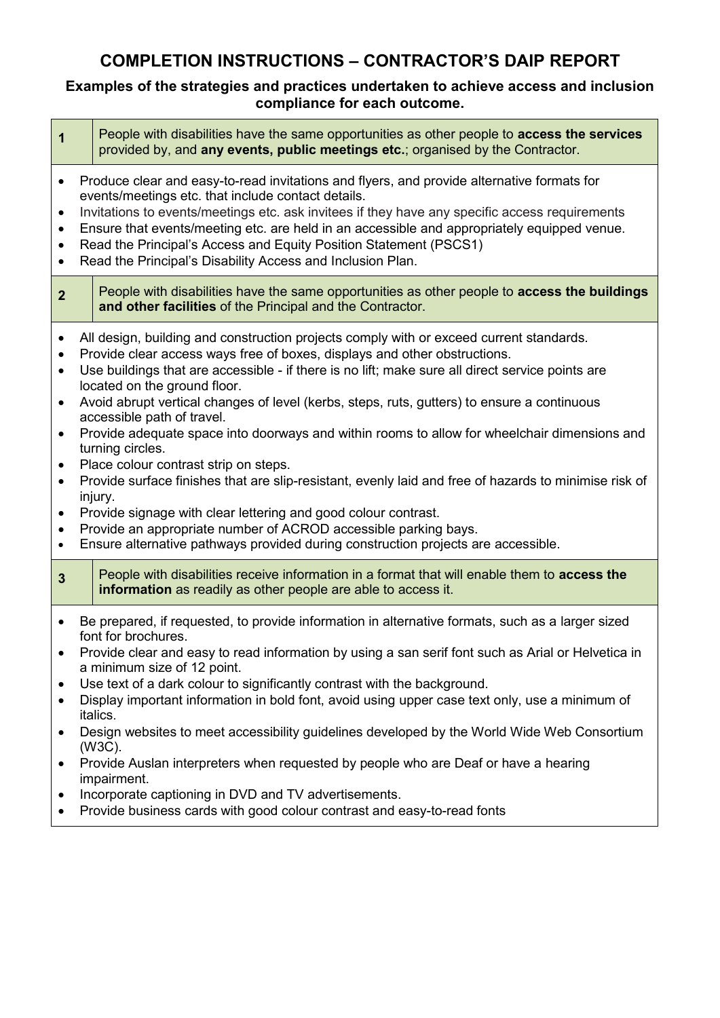## **COMPLETION INSTRUCTIONS – CONTRACTOR'S DAIP REPORT**

#### **Examples of the strategies and practices undertaken to achieve access and inclusion compliance for each outcome.**

| $\mathbf 1$                                                                                                                    |                                                                                                                                                                                                                                                                                                                                                                                                                                                                                      | People with disabilities have the same opportunities as other people to access the services<br>provided by, and any events, public meetings etc.; organised by the Contractor.                                                                                                                                                                                                                                                                                                                                                                                                                                                                                                                                                                                                                                                                                                                                                                   |
|--------------------------------------------------------------------------------------------------------------------------------|--------------------------------------------------------------------------------------------------------------------------------------------------------------------------------------------------------------------------------------------------------------------------------------------------------------------------------------------------------------------------------------------------------------------------------------------------------------------------------------|--------------------------------------------------------------------------------------------------------------------------------------------------------------------------------------------------------------------------------------------------------------------------------------------------------------------------------------------------------------------------------------------------------------------------------------------------------------------------------------------------------------------------------------------------------------------------------------------------------------------------------------------------------------------------------------------------------------------------------------------------------------------------------------------------------------------------------------------------------------------------------------------------------------------------------------------------|
| $\bullet$<br>$\bullet$<br>$\bullet$<br>$\bullet$<br>$\bullet$                                                                  | Produce clear and easy-to-read invitations and flyers, and provide alternative formats for<br>events/meetings etc. that include contact details.<br>Invitations to events/meetings etc. ask invitees if they have any specific access requirements<br>Ensure that events/meeting etc. are held in an accessible and appropriately equipped venue.<br>Read the Principal's Access and Equity Position Statement (PSCS1)<br>Read the Principal's Disability Access and Inclusion Plan. |                                                                                                                                                                                                                                                                                                                                                                                                                                                                                                                                                                                                                                                                                                                                                                                                                                                                                                                                                  |
| $\overline{2}$                                                                                                                 |                                                                                                                                                                                                                                                                                                                                                                                                                                                                                      | People with disabilities have the same opportunities as other people to access the buildings<br>and other facilities of the Principal and the Contractor.                                                                                                                                                                                                                                                                                                                                                                                                                                                                                                                                                                                                                                                                                                                                                                                        |
| $\bullet$<br>$\bullet$<br>$\bullet$<br>$\bullet$<br>$\bullet$<br>$\bullet$<br>$\bullet$<br>$\bullet$<br>$\bullet$<br>$\bullet$ |                                                                                                                                                                                                                                                                                                                                                                                                                                                                                      | All design, building and construction projects comply with or exceed current standards.<br>Provide clear access ways free of boxes, displays and other obstructions.<br>Use buildings that are accessible - if there is no lift; make sure all direct service points are<br>located on the ground floor.<br>Avoid abrupt vertical changes of level (kerbs, steps, ruts, gutters) to ensure a continuous<br>accessible path of travel.<br>Provide adequate space into doorways and within rooms to allow for wheelchair dimensions and<br>turning circles.<br>Place colour contrast strip on steps.<br>Provide surface finishes that are slip-resistant, evenly laid and free of hazards to minimise risk of<br>injury.<br>Provide signage with clear lettering and good colour contrast.<br>Provide an appropriate number of ACROD accessible parking bays.<br>Ensure alternative pathways provided during construction projects are accessible. |
| $\overline{3}$                                                                                                                 |                                                                                                                                                                                                                                                                                                                                                                                                                                                                                      | People with disabilities receive information in a format that will enable them to access the<br>information as readily as other people are able to access it.                                                                                                                                                                                                                                                                                                                                                                                                                                                                                                                                                                                                                                                                                                                                                                                    |
| $\bullet$<br>$\bullet$<br>$\bullet$<br>$\bullet$<br>$\bullet$                                                                  |                                                                                                                                                                                                                                                                                                                                                                                                                                                                                      | Be prepared, if requested, to provide information in alternative formats, such as a larger sized<br>font for brochures.<br>Provide clear and easy to read information by using a san serif font such as Arial or Helvetica in<br>a minimum size of 12 point.<br>Use text of a dark colour to significantly contrast with the background.<br>Display important information in bold font, avoid using upper case text only, use a minimum of<br>italics.<br>Design websites to meet accessibility guidelines developed by the World Wide Web Consortium<br>(W3C).<br>Provide Auslan interpreters when requested by people who are Deaf or have a hearing<br>impairment.<br>Incorporate captioning in DVD and TV advertisements.                                                                                                                                                                                                                    |
| $\bullet$                                                                                                                      |                                                                                                                                                                                                                                                                                                                                                                                                                                                                                      | Provide business cards with good colour contrast and easy-to-read fonts                                                                                                                                                                                                                                                                                                                                                                                                                                                                                                                                                                                                                                                                                                                                                                                                                                                                          |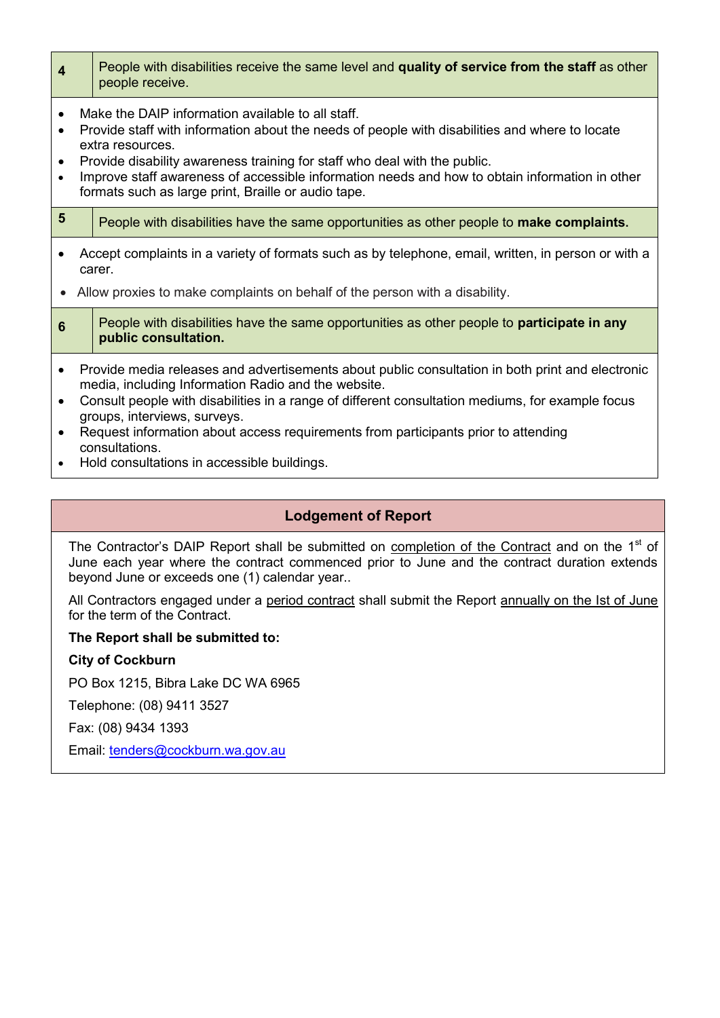| $\overline{\mathbf{4}}$             |                                                                                                                                                                                                                                                                                                                                                                                                               | People with disabilities receive the same level and quality of service from the staff as other<br>people receive.         |
|-------------------------------------|---------------------------------------------------------------------------------------------------------------------------------------------------------------------------------------------------------------------------------------------------------------------------------------------------------------------------------------------------------------------------------------------------------------|---------------------------------------------------------------------------------------------------------------------------|
| $\bullet$<br>$\bullet$<br>$\bullet$ | Make the DAIP information available to all staff.<br>Provide staff with information about the needs of people with disabilities and where to locate<br>extra resources.<br>Provide disability awareness training for staff who deal with the public.<br>Improve staff awareness of accessible information needs and how to obtain information in other<br>formats such as large print, Braille or audio tape. |                                                                                                                           |
| $5\phantom{1}$                      |                                                                                                                                                                                                                                                                                                                                                                                                               | People with disabilities have the same opportunities as other people to make complaints.                                  |
| $\bullet$                           | Accept complaints in a variety of formats such as by telephone, email, written, in person or with a<br>carer.<br>Allow proxies to make complaints on behalf of the person with a disability.                                                                                                                                                                                                                  |                                                                                                                           |
| 6                                   |                                                                                                                                                                                                                                                                                                                                                                                                               | People with disabilities have the same opportunities as other people to <b>participate in any</b><br>public consultation. |
| $\bullet$<br>$\bullet$              | Provide media releases and advertisements about public consultation in both print and electronic<br>media, including Information Radio and the website.<br>Consult people with disabilities in a range of different consultation mediums, for example focus<br>groups, interviews, surveys.<br>Request information about access requirements from participants prior to attending<br>consultations.           |                                                                                                                           |

Hold consultations in accessible buildings.

### **Lodgement of Report**

The Contractor's DAIP Report shall be submitted on completion of the Contract and on the 1<sup>st</sup> of June each year where the contract commenced prior to June and the contract duration extends beyond June or exceeds one (1) calendar year..

All Contractors engaged under a period contract shall submit the Report annually on the Ist of June for the term of the Contract.

#### **The Report shall be submitted to:**

**City of Cockburn**

PO Box 1215, Bibra Lake DC WA 6965

Telephone: (08) 9411 3527

Fax: (08) 9434 1393

Email: [tenders@cockburn.wa.gov.au](mailto:tenders@cockburn.wa.gov.au)